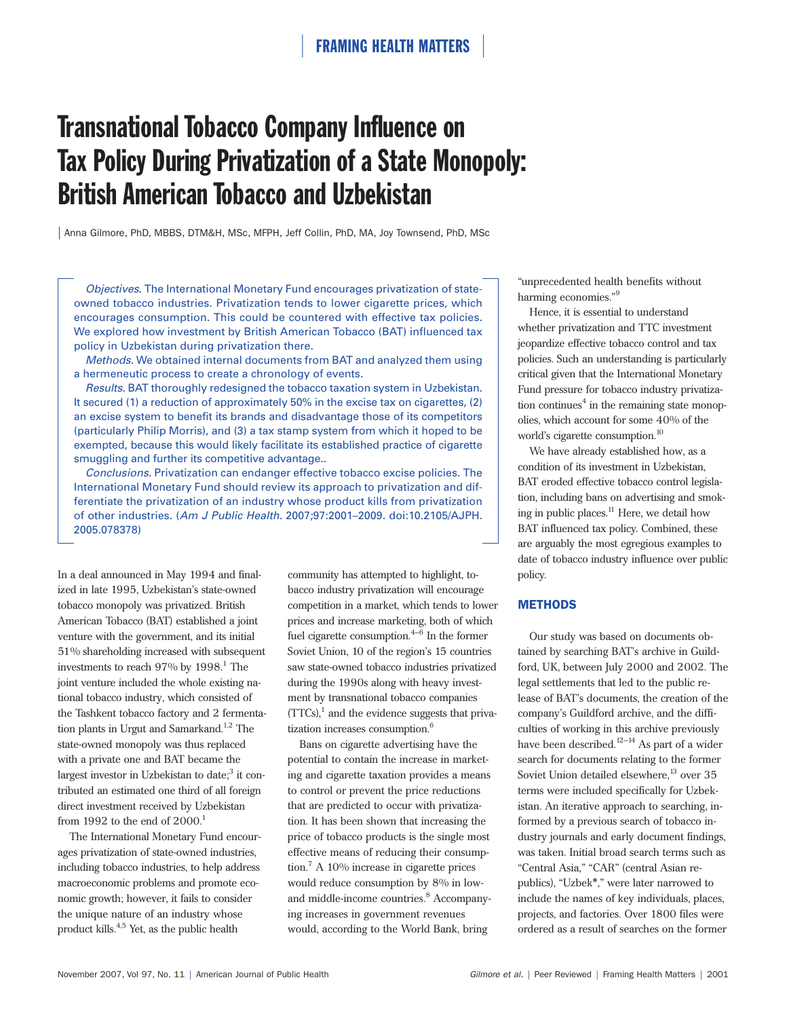# Transnational Tobacco Company Influence on Tax Policy During Privatization of a State Monopoly: British American Tobacco and Uzbekistan

| Anna Gilmore, PhD, MBBS, DTM&H, MSc, MFPH, Jeff Collin, PhD, MA, Joy Townsend, PhD, MSc

*Objectives*. The International Monetary Fund encourages privatization of stateowned tobacco industries. Privatization tends to lower cigarette prices, which encourages consumption. This could be countered with effective tax policies. We explored how investment by British American Tobacco (BAT) influenced tax policy in Uzbekistan during privatization there.

*Methods.* We obtained internal documents from BAT and analyzed them using a hermeneutic process to create a chronology of events.

*Results.* BAT thoroughly redesigned the tobacco taxation system in Uzbekistan. It secured (1) a reduction of approximately 50% in the excise tax on cigarettes, (2) an excise system to benefit its brands and disadvantage those of its competitors (particularly Philip Morris), and (3) a tax stamp system from which it hoped to be exempted, because this would likely facilitate its established practice of cigarette smuggling and further its competitive advantage..

*Conclusions.* Privatization can endanger effective tobacco excise policies. The International Monetary Fund should review its approach to privatization and differentiate the privatization of an industry whose product kills from privatization of other industries. (*Am J Public Health.* 2007;97:2001–2009. doi:10.2105/AJPH. 2005.078378)

In a deal announced in May 1994 and finalized in late 1995, Uzbekistan's state-owned tobacco monopoly was privatized. British American Tobacco (BAT) established a joint venture with the government, and its initial 51% shareholding increased with subsequent investments to reach  $97\%$  by  $1998.<sup>1</sup>$  The joint venture included the whole existing national tobacco industry, which consisted of the Tashkent tobacco factory and 2 fermentation plants in Urgut and Samarkand.<sup>1,2</sup> The state-owned monopoly was thus replaced with a private one and BAT became the largest investor in Uzbekistan to date; $3$  it contributed an estimated one third of all foreign direct investment received by Uzbekistan from 1992 to the end of  $2000$ .<sup>1</sup>

The International Monetary Fund encourages privatization of state-owned industries, including tobacco industries, to help address macroeconomic problems and promote economic growth; however, it fails to consider the unique nature of an industry whose product kills.4,5 Yet, as the public health

community has attempted to highlight, tobacco industry privatization will encourage competition in a market, which tends to lower prices and increase marketing, both of which fuel cigarette consumption. $4-6$  In the former Soviet Union, 10 of the region's 15 countries saw state-owned tobacco industries privatized during the 1990s along with heavy investment by transnational tobacco companies  $(TTCs)<sup>1</sup>$  and the evidence suggests that privatization increases consumption.<sup>6</sup>

Bans on cigarette advertising have the potential to contain the increase in marketing and cigarette taxation provides a means to control or prevent the price reductions that are predicted to occur with privatization. It has been shown that increasing the price of tobacco products is the single most effective means of reducing their consumption.<sup>7</sup> A 10% increase in cigarette prices would reduce consumption by 8% in lowand middle-income countries.<sup>8</sup> Accompanying increases in government revenues would, according to the World Bank, bring

"unprecedented health benefits without harming economies."<sup>9</sup>

Hence, it is essential to understand whether privatization and TTC investment jeopardize effective tobacco control and tax policies. Such an understanding is particularly critical given that the International Monetary Fund pressure for tobacco industry privatization continues $4$  in the remaining state monopolies, which account for some 40% of the world's cigarette consumption.<sup>10</sup>

We have already established how, as a condition of its investment in Uzbekistan, BAT eroded effective tobacco control legislation, including bans on advertising and smoking in public places. $^{11}$  Here, we detail how BAT influenced tax policy. Combined, these are arguably the most egregious examples to date of tobacco industry influence over public policy.

### **METHODS**

Our study was based on documents obtained by searching BAT's archive in Guildford, UK, between July 2000 and 2002. The legal settlements that led to the public release of BAT's documents, the creation of the company's Guildford archive, and the difficulties of working in this archive previously have been described.<sup>12–14</sup> As part of a wider search for documents relating to the former Soviet Union detailed elsewhere,<sup>13</sup> over 35 terms were included specifically for Uzbekistan. An iterative approach to searching, informed by a previous search of tobacco industry journals and early document findings, was taken. Initial broad search terms such as "Central Asia," "CAR" (central Asian republics), "Uzbek\*," were later narrowed to include the names of key individuals, places, projects, and factories. Over 1800 files were ordered as a result of searches on the former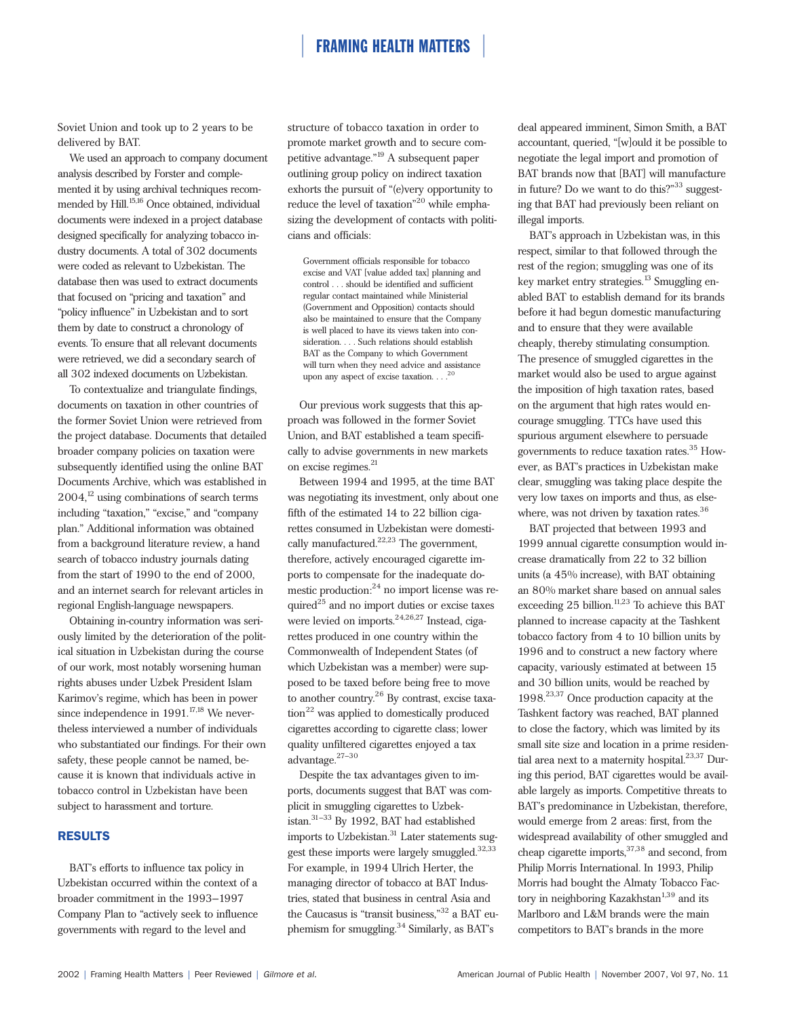Soviet Union and took up to 2 years to be delivered by BAT.

We used an approach to company document analysis described by Forster and complemented it by using archival techniques recommended by Hill.<sup>15,16</sup> Once obtained, individual documents were indexed in a project database designed specifically for analyzing tobacco industry documents. A total of 302 documents were coded as relevant to Uzbekistan. The database then was used to extract documents that focused on "pricing and taxation" and "policy influence" in Uzbekistan and to sort them by date to construct a chronology of events. To ensure that all relevant documents were retrieved, we did a secondary search of all 302 indexed documents on Uzbekistan.

To contextualize and triangulate findings, documents on taxation in other countries of the former Soviet Union were retrieved from the project database. Documents that detailed broader company policies on taxation were subsequently identified using the online BAT Documents Archive, which was established in  $2004<sup>12</sup>$  using combinations of search terms including "taxation," "excise," and "company plan." Additional information was obtained from a background literature review, a hand search of tobacco industry journals dating from the start of 1990 to the end of 2000, and an internet search for relevant articles in regional English-language newspapers.

Obtaining in-country information was seriously limited by the deterioration of the political situation in Uzbekistan during the course of our work, most notably worsening human rights abuses under Uzbek President Islam Karimov's regime, which has been in power since independence in  $1991$ .<sup>17,18</sup> We nevertheless interviewed a number of individuals who substantiated our findings. For their own safety, these people cannot be named, because it is known that individuals active in tobacco control in Uzbekistan have been subject to harassment and torture.

### RESULTS

BAT's efforts to influence tax policy in Uzbekistan occurred within the context of a broader commitment in the 1993–1997 Company Plan to "actively seek to influence governments with regard to the level and

structure of tobacco taxation in order to promote market growth and to secure competitive advantage."19 A subsequent paper outlining group policy on indirect taxation exhorts the pursuit of "(e)very opportunity to reduce the level of taxation"<sup>20</sup> while emphasizing the development of contacts with politicians and officials:

Government officials responsible for tobacco excise and VAT [value added tax] planning and control . . . should be identified and sufficient regular contact maintained while Ministerial (Government and Opposition) contacts should also be maintained to ensure that the Company is well placed to have its views taken into consideration. . . . Such relations should establish BAT as the Company to which Government will turn when they need advice and assistance upon any aspect of excise taxation. . . .<sup>20</sup>

Our previous work suggests that this approach was followed in the former Soviet Union, and BAT established a team specifically to advise governments in new markets on excise regimes.<sup>21</sup>

Between 1994 and 1995, at the time BAT was negotiating its investment, only about one fifth of the estimated 14 to 22 billion cigarettes consumed in Uzbekistan were domestically manufactured.<sup>22,23</sup> The government, therefore, actively encouraged cigarette imports to compensate for the inadequate domestic production:24 no import license was required $^{25}$  and no import duties or excise taxes were levied on imports. $24,26,27$  Instead, cigarettes produced in one country within the Commonwealth of Independent States (of which Uzbekistan was a member) were supposed to be taxed before being free to move to another country.26 By contrast, excise taxa- $\mu$ <sup>22</sup> was applied to domestically produced cigarettes according to cigarette class; lower quality unfiltered cigarettes enjoyed a tax advantage.  $^{\rm 27-30}$ 

Despite the tax advantages given to imports, documents suggest that BAT was complicit in smuggling cigarettes to Uzbekistan.31–33 By 1992, BAT had established imports to Uzbekistan.<sup>31</sup> Later statements suggest these imports were largely smuggled.32,33 For example, in 1994 Ulrich Herter, the managing director of tobacco at BAT Industries, stated that business in central Asia and the Caucasus is "transit business,"<sup>32</sup> a BAT euphemism for smuggling.<sup>34</sup> Similarly, as BAT's

deal appeared imminent, Simon Smith, a BAT accountant, queried, "[w]ould it be possible to negotiate the legal import and promotion of BAT brands now that [BAT] will manufacture in future? Do we want to do this?"33 suggesting that BAT had previously been reliant on illegal imports.

BAT's approach in Uzbekistan was, in this respect, similar to that followed through the rest of the region; smuggling was one of its key market entry strategies.<sup>13</sup> Smuggling enabled BAT to establish demand for its brands before it had begun domestic manufacturing and to ensure that they were available cheaply, thereby stimulating consumption. The presence of smuggled cigarettes in the market would also be used to argue against the imposition of high taxation rates, based on the argument that high rates would encourage smuggling. TTCs have used this spurious argument elsewhere to persuade governments to reduce taxation rates.<sup>35</sup> However, as BAT's practices in Uzbekistan make clear, smuggling was taking place despite the very low taxes on imports and thus, as elsewhere, was not driven by taxation rates.<sup>36</sup>

BAT projected that between 1993 and 1999 annual cigarette consumption would increase dramatically from 22 to 32 billion units (a 45% increase), with BAT obtaining an 80% market share based on annual sales exceeding  $25$  billion.<sup>11,23</sup> To achieve this BAT planned to increase capacity at the Tashkent tobacco factory from 4 to 10 billion units by 1996 and to construct a new factory where capacity, variously estimated at between 15 and 30 billion units, would be reached by 1998.23,37 Once production capacity at the Tashkent factory was reached, BAT planned to close the factory, which was limited by its small site size and location in a prime residential area next to a maternity hospital.<sup>23,37</sup> During this period, BAT cigarettes would be available largely as imports. Competitive threats to BAT's predominance in Uzbekistan, therefore, would emerge from 2 areas: first, from the widespread availability of other smuggled and cheap cigarette imports,37,38 and second, from Philip Morris International. In 1993, Philip Morris had bought the Almaty Tobacco Factory in neighboring Kazakhstan<sup>1,39</sup> and its Marlboro and L&M brands were the main competitors to BAT's brands in the more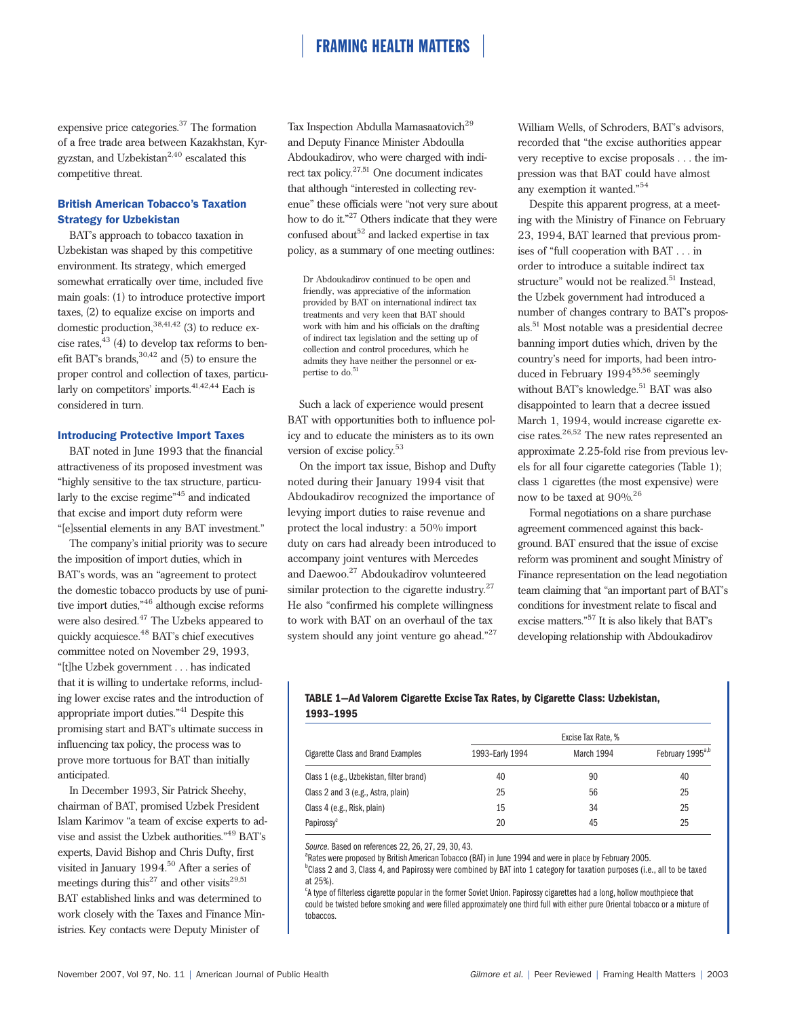expensive price categories.37 The formation of a free trade area between Kazakhstan, Kyrgyzstan, and Uzbekistan $^{2,40}$  escalated this competitive threat.

### British American Tobacco's Taxation Strategy for Uzbekistan

BAT's approach to tobacco taxation in Uzbekistan was shaped by this competitive environment. Its strategy, which emerged somewhat erratically over time, included five main goals: (1) to introduce protective import taxes, (2) to equalize excise on imports and domestic production,  $38,41,42$  (3) to reduce excise rates, $43$  (4) to develop tax reforms to benefit BAT's brands,  $30,42$  and (5) to ensure the proper control and collection of taxes, particularly on competitors' imports.<sup>41,42,44</sup> Each is considered in turn.

#### Introducing Protective Import Taxes

BAT noted in June 1993 that the financial attractiveness of its proposed investment was "highly sensitive to the tax structure, particularly to the excise regime"<sup>45</sup> and indicated that excise and import duty reform were "[e]ssential elements in any BAT investment."

The company's initial priority was to secure the imposition of import duties, which in BAT's words, was an "agreement to protect the domestic tobacco products by use of punitive import duties,"<sup>46</sup> although excise reforms were also desired.<sup>47</sup> The Uzbeks appeared to quickly acquiesce.<sup>48</sup> BAT's chief executives committee noted on November 29, 1993, "[t]he Uzbek government ... has indicated that it is willing to undertake reforms, including lower excise rates and the introduction of appropriate import duties."<sup>41</sup> Despite this promising start and BAT's ultimate success in influencing tax policy, the process was to prove more tortuous for BAT than initially anticipated.

In December 1993, Sir Patrick Sheehy, chairman of BAT, promised Uzbek President Islam Karimov "a team of excise experts to advise and assist the Uzbek authorities."49 BAT's experts, David Bishop and Chris Dufty, first visited in January 1994.<sup>50</sup> After a series of meetings during this<sup>27</sup> and other visits<sup>29,51</sup> BAT established links and was determined to work closely with the Taxes and Finance Ministries. Key contacts were Deputy Minister of

Tax Inspection Abdulla Mamasaatovich<sup>29</sup> and Deputy Finance Minister Abdoulla Abdoukadirov, who were charged with indirect tax policy.27,51 One document indicates that although "interested in collecting revenue" these officials were "not very sure about how to do it."<sup>27</sup> Others indicate that they were confused about<sup>52</sup> and lacked expertise in tax policy, as a summary of one meeting outlines:

Dr Abdoukadirov continued to be open and friendly, was appreciative of the information provided by BAT on international indirect tax treatments and very keen that BAT should work with him and his officials on the drafting of indirect tax legislation and the setting up of collection and control procedures, which he admits they have neither the personnel or expertise to do*.* 51

Such a lack of experience would present BAT with opportunities both to influence policy and to educate the ministers as to its own version of excise policy.<sup>53</sup>

On the import tax issue, Bishop and Dufty noted during their January 1994 visit that Abdoukadirov recognized the importance of levying import duties to raise revenue and protect the local industry: a 50% import duty on cars had already been introduced to accompany joint ventures with Mercedes and Daewoo.<sup>27</sup> Abdoukadirov volunteered similar protection to the cigarette industry.<sup>27</sup> He also "confirmed his complete willingness to work with BAT on an overhaul of the tax system should any joint venture go ahead."<sup>27</sup> William Wells, of Schroders, BAT's advisors, recorded that "the excise authorities appear very receptive to excise proposals . . . the impression was that BAT could have almost any exemption it wanted."<sup>54</sup>

Despite this apparent progress, at a meeting with the Ministry of Finance on February 23, 1994, BAT learned that previous promises of "full cooperation with BAT . . . in order to introduce a suitable indirect tax structure" would not be realized. $51$  Instead, the Uzbek government had introduced a number of changes contrary to BAT's proposals.<sup>51</sup> Most notable was a presidential decree banning import duties which, driven by the country's need for imports, had been introduced in February  $1994^{55,56}$  seemingly without BAT's knowledge. $^{51}$  BAT was also disappointed to learn that a decree issued March 1, 1994, would increase cigarette excise rates.26,52 The new rates represented an approximate 2.25-fold rise from previous levels for all four cigarette categories (Table 1); class 1 cigarettes (the most expensive) were now to be taxed at 90%.<sup>26</sup>

Formal negotiations on a share purchase agreement commenced against this background. BAT ensured that the issue of excise reform was prominent and sought Ministry of Finance representation on the lead negotiation team claiming that "an important part of BAT's conditions for investment relate to fiscal and excise matters."57 It is also likely that BAT's developing relationship with Abdoukadirov

### **TABLE 1—Ad Valorem Cigarette Excise Tax Rates, by Cigarette Class: Uzbekistan, 1993–1995**

| Cigarette Class and Brand Examples       | Excise Tax Rate, % |            |                              |
|------------------------------------------|--------------------|------------|------------------------------|
|                                          | 1993-Early 1994    | March 1994 | February 1995 <sup>a,b</sup> |
| Class 1 (e.g., Uzbekistan, filter brand) | 40                 | 90         | 40                           |
| Class 2 and 3 (e.g., Astra, plain)       | 25                 | 56         | 25                           |
| Class 4 (e.g., Risk, plain)              | 15                 | 34         | 25                           |
| Papirossy <sup>c</sup>                   | 20                 | 45         | 25                           |

S*ource.* Based on references 22, 26, 27, 29, 30, 43.<br><sup>a</sup>Rates were proposed by British American Tobacco (BAT) in June 1994 and were in place by February 2005.

<sup>b</sup>Class 2 and 3, Class 4, and Papirossy were combined by BAT into 1 category for taxation purposes (i.e., all to be taxed at 25%).

<sup>c</sup>A type of filterless cigarette popular in the former Soviet Union. Papirossy cigarettes had a long, hollow mouthpiece that could be twisted before smoking and were filled approximately one third full with either pure Oriental tobacco or a mixture of tobaccos.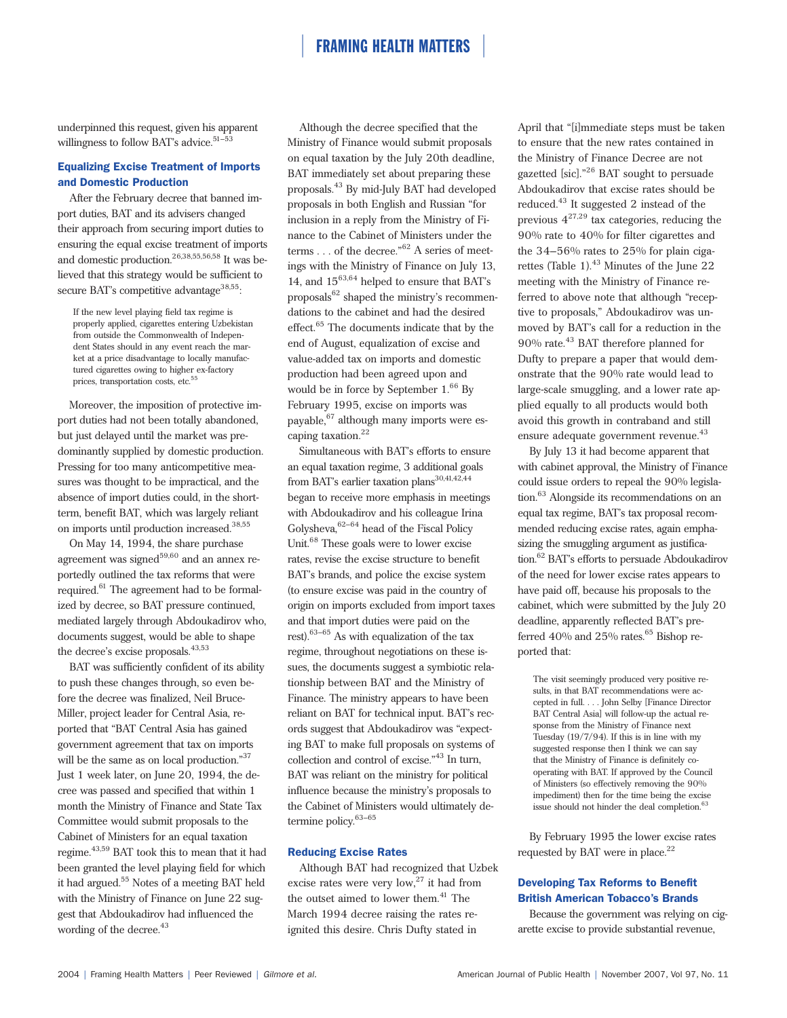underpinned this request, given his apparent willingness to follow BAT's advice.<sup>51-53</sup>

### Equalizing Excise Treatment of Imports and Domestic Production

After the February decree that banned import duties, BAT and its advisers changed their approach from securing import duties to ensuring the equal excise treatment of imports and domestic production.26,38,55,56,58 It was believed that this strategy would be sufficient to secure BAT's competitive advantage<sup>38,55</sup>:

If the new level playing field tax regime is properly applied, cigarettes entering Uzbekistan from outside the Commonwealth of Independent States should in any event reach the market at a price disadvantage to locally manufactured cigarettes owing to higher ex-factory prices, transportation costs, etc.<sup>5</sup>

Moreover, the imposition of protective import duties had not been totally abandoned, but just delayed until the market was predominantly supplied by domestic production. Pressing for too many anticompetitive measures was thought to be impractical, and the absence of import duties could, in the shortterm, benefit BAT, which was largely reliant on imports until production increased.38,55

On May 14, 1994, the share purchase agreement was signed $59,60$  and an annex reportedly outlined the tax reforms that were required.<sup>61</sup> The agreement had to be formalized by decree, so BAT pressure continued, mediated largely through Abdoukadirov who, documents suggest, would be able to shape the decree's excise proposals.<sup>43,53</sup>

BAT was sufficiently confident of its ability to push these changes through, so even before the decree was finalized, Neil Bruce-Miller, project leader for Central Asia, reported that "BAT Central Asia has gained government agreement that tax on imports will be the same as on local production."<sup>37</sup> Just 1 week later, on June 20, 1994, the decree was passed and specified that within 1 month the Ministry of Finance and State Tax Committee would submit proposals to the Cabinet of Ministers for an equal taxation regime.43,59 BAT took this to mean that it had been granted the level playing field for which it had argued.<sup>55</sup> Notes of a meeting BAT held with the Ministry of Finance on June 22 suggest that Abdoukadirov had influenced the wording of the decree.<sup>43</sup>

Although the decree specified that the Ministry of Finance would submit proposals on equal taxation by the July 20th deadline, BAT immediately set about preparing these proposals.<sup>43</sup> By mid-July BAT had developed proposals in both English and Russian "for inclusion in a reply from the Ministry of Finance to the Cabinet of Ministers under the terms . . . of the decree."<sup>62</sup> A series of meetings with the Ministry of Finance on July 13, 14, and  $15^{63,64}$  helped to ensure that BAT's proposals $62$  shaped the ministry's recommendations to the cabinet and had the desired effect.<sup>65</sup> The documents indicate that by the end of August, equalization of excise and value-added tax on imports and domestic production had been agreed upon and would be in force by September 1.<sup>66</sup> By February 1995, excise on imports was payable, $67$  although many imports were escaping taxation.<sup>22</sup>

Simultaneous with BAT's efforts to ensure an equal taxation regime, 3 additional goals from BAT's earlier taxation plans  $^{30,41,42,44}$ began to receive more emphasis in meetings with Abdoukadirov and his colleague Irina Golysheva,  $62-64$  head of the Fiscal Policy Unit.<sup>68</sup> These goals were to lower excise rates, revise the excise structure to benefit BAT's brands, and police the excise system (to ensure excise was paid in the country of origin on imports excluded from import taxes and that import duties were paid on the rest). $^{63-65}$  As with equalization of the  $\rm tax$ regime, throughout negotiations on these issues, the documents suggest a symbiotic relationship between BAT and the Ministry of Finance. The ministry appears to have been reliant on BAT for technical input. BAT's records suggest that Abdoukadirov was "expecting BAT to make full proposals on systems of collection and control of excise."<sup>43</sup> In turn, BAT was reliant on the ministry for political influence because the ministry's proposals to the Cabinet of Ministers would ultimately determine policy.<sup>63-65</sup>

#### Reducing Excise Rates

Although BAT had recognized that Uzbek excise rates were very low,<sup>27</sup> it had from the outset aimed to lower them.<sup>41</sup> The March 1994 decree raising the rates reignited this desire. Chris Dufty stated in

April that "[i]mmediate steps must be taken to ensure that the new rates contained in the Ministry of Finance Decree are not gazetted [sic]."<sup>26</sup> BAT sought to persuade Abdoukadirov that excise rates should be reduced.<sup>43</sup> It suggested 2 instead of the previous  $4^{27,29}$  tax categories, reducing the 90% rate to 40% for filter cigarettes and the 34–56% rates to 25% for plain cigarettes (Table 1).<sup>43</sup> Minutes of the June 22 meeting with the Ministry of Finance referred to above note that although "receptive to proposals," Abdoukadirov was unmoved by BAT's call for a reduction in the 90% rate.<sup>43</sup> BAT therefore planned for Dufty to prepare a paper that would demonstrate that the 90% rate would lead to large-scale smuggling, and a lower rate applied equally to all products would both avoid this growth in contraband and still ensure adequate government revenue.<sup>43</sup>

By July 13 it had become apparent that with cabinet approval, the Ministry of Finance could issue orders to repeal the 90% legislation.<sup>63</sup> Alongside its recommendations on an equal tax regime, BAT's tax proposal recommended reducing excise rates, again emphasizing the smuggling argument as justification.62 BAT's efforts to persuade Abdoukadirov of the need for lower excise rates appears to have paid off, because his proposals to the cabinet, which were submitted by the July 20 deadline, apparently reflected BAT's preferred 40% and 25% rates.<sup>65</sup> Bishop reported that:

The visit seemingly produced very positive results, in that BAT recommendations were accepted in full. . . . John Selby [Finance Director BAT Central Asia] will follow-up the actual response from the Ministry of Finance next Tuesday (19/7/94). If this is in line with my suggested response then I think we can say that the Ministry of Finance is definitely cooperating with BAT. If approved by the Council of Ministers (so effectively removing the 90% impediment) then for the time being the excise issue should not hinder the deal completion.  $\!63}$ 

By February 1995 the lower excise rates requested by BAT were in place.<sup>22</sup>

### Developing Tax Reforms to Benefit British American Tobacco's Brands

Because the government was relying on cigarette excise to provide substantial revenue,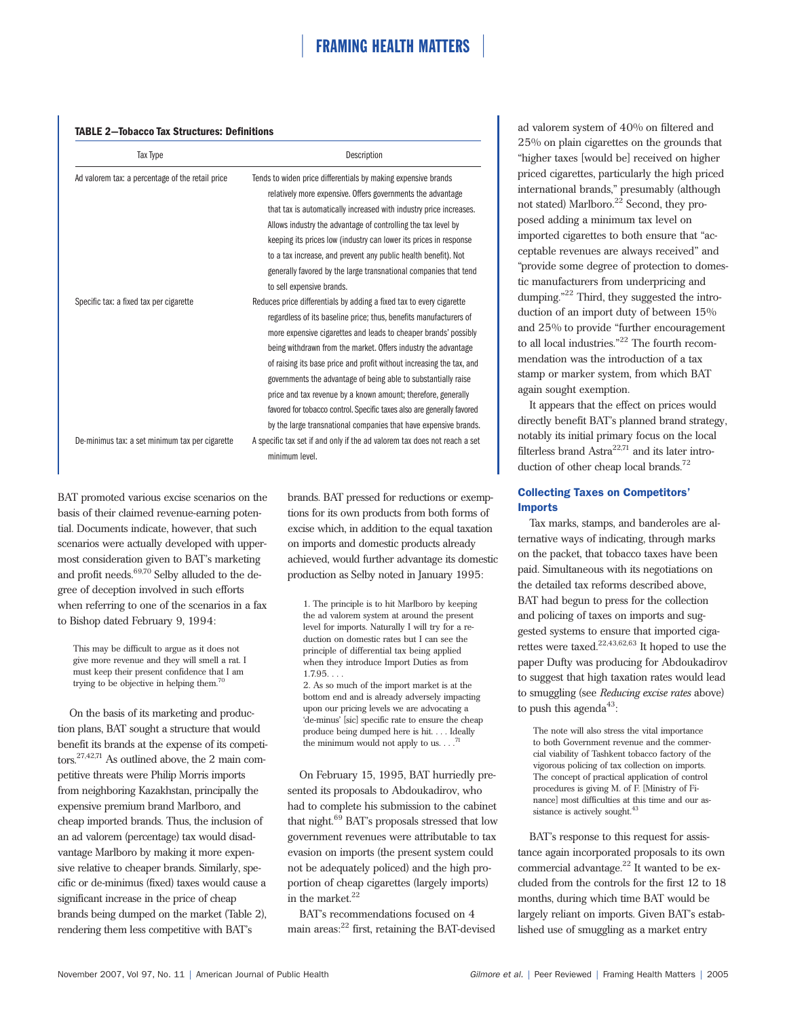#### **TABLE 2—Tobacco Tax Structures: Definitions**

| <b>Tax Type</b>                                  | Description                                                                                                                                                                                                                                                                                                                                                                                                                                                                                                                                                                                                                             |
|--------------------------------------------------|-----------------------------------------------------------------------------------------------------------------------------------------------------------------------------------------------------------------------------------------------------------------------------------------------------------------------------------------------------------------------------------------------------------------------------------------------------------------------------------------------------------------------------------------------------------------------------------------------------------------------------------------|
| Ad valorem tax: a percentage of the retail price | Tends to widen price differentials by making expensive brands<br>relatively more expensive. Offers governments the advantage<br>that tax is automatically increased with industry price increases.<br>Allows industry the advantage of controlling the tax level by<br>keeping its prices low (industry can lower its prices in response<br>to a tax increase, and prevent any public health benefit). Not<br>generally favored by the large transnational companies that tend<br>to sell expensive brands.                                                                                                                             |
| Specific tax: a fixed tax per cigarette          | Reduces price differentials by adding a fixed tax to every cigarette<br>regardless of its baseline price; thus, benefits manufacturers of<br>more expensive cigarettes and leads to cheaper brands' possibly<br>being withdrawn from the market. Offers industry the advantage<br>of raising its base price and profit without increasing the tax, and<br>governments the advantage of being able to substantially raise<br>price and tax revenue by a known amount; therefore, generally<br>favored for tobacco control. Specific taxes also are generally favored<br>by the large transnational companies that have expensive brands. |
| De-minimus tax: a set minimum tax per cigarette  | A specific tax set if and only if the ad valorem tax does not reach a set<br>minimum level.                                                                                                                                                                                                                                                                                                                                                                                                                                                                                                                                             |

BAT promoted various excise scenarios on the basis of their claimed revenue-earning potential. Documents indicate, however, that such scenarios were actually developed with uppermost consideration given to BAT's marketing and profit needs.<sup>69,70</sup> Selby alluded to the degree of deception involved in such efforts when referring to one of the scenarios in a fax to Bishop dated February 9, 1994:

This may be difficult to argue as it does not give more revenue and they will smell a rat. I must keep their present confidence that I am trying to be objective in helping them. $70$ 

On the basis of its marketing and production plans, BAT sought a structure that would benefit its brands at the expense of its competitors.27,42,71 As outlined above, the 2 main competitive threats were Philip Morris imports from neighboring Kazakhstan, principally the expensive premium brand Marlboro, and cheap imported brands. Thus, the inclusion of an ad valorem (percentage) tax would disadvantage Marlboro by making it more expensive relative to cheaper brands. Similarly, specific or de-minimus (fixed) taxes would cause a significant increase in the price of cheap brands being dumped on the market (Table 2), rendering them less competitive with BAT's

brands. BAT pressed for reductions or exemptions for its own products from both forms of excise which, in addition to the equal taxation on imports and domestic products already achieved, would further advantage its domestic production as Selby noted in January 1995:

1. The principle is to hit Marlboro by keeping the ad valorem system at around the present level for imports. Naturally I will try for a reduction on domestic rates but I can see the principle of differential tax being applied when they introduce Import Duties as from  $1.7.95.$  ...

2. As so much of the import market is at the bottom end and is already adversely impacting upon our pricing levels we are advocating a 'de-minus' [sic] specific rate to ensure the cheap produce being dumped here is hit. ... Ideally the minimum would not apply to us.  $\ldots$ <sup>71</sup>

On February 15, 1995, BAT hurriedly presented its proposals to Abdoukadirov, who had to complete his submission to the cabinet that night.<sup>69</sup> BAT's proposals stressed that low government revenues were attributable to tax evasion on imports (the present system could not be adequately policed) and the high proportion of cheap cigarettes (largely imports) in the market. $22$ 

BAT's recommendations focused on 4 main areas: $22$  first, retaining the BAT-devised ad valorem system of 40% on filtered and 25% on plain cigarettes on the grounds that "higher taxes [would be] received on higher priced cigarettes, particularly the high priced international brands," presumably (although not stated) Marlboro.<sup>22</sup> Second, they proposed adding a minimum tax level on imported cigarettes to both ensure that "acceptable revenues are always received" and "provide some degree of protection to domestic manufacturers from underpricing and dumping."<sup>22</sup> Third, they suggested the introduction of an import duty of between  $15\%$ and 25% to provide "further encouragement to all local industries."<sup>22</sup> The fourth recommendation was the introduction of a tax stamp or marker system, from which BAT again sought exemption.

It appears that the effect on prices would directly benefit BAT's planned brand strategy, notably its initial primary focus on the local filterless brand  $Astra<sup>22,71</sup>$  and its later introduction of other cheap local brands.<sup>72</sup>

### Collecting Taxes on Competitors' Imports

Tax marks, stamps, and banderoles are alternative ways of indicating, through marks on the packet, that tobacco taxes have been paid. Simultaneous with its negotiations on the detailed tax reforms described above, BAT had begun to press for the collection and policing of taxes on imports and suggested systems to ensure that imported cigarettes were taxed.22,43,62,63 It hoped to use the paper Dufty was producing for Abdoukadirov to suggest that high taxation rates would lead to smuggling (see *Reducing excise rates* above) to push this agenda<sup>43</sup>:

The note will also stress the vital importance to both Government revenue and the commercial viability of Tashkent tobacco factory of the vigorous policing of tax collection on imports. The concept of practical application of control procedures is giving M. of F. [Ministry of Finance] most difficulties at this time and our assistance is actively sought.<sup>43</sup>

BAT's response to this request for assistance again incorporated proposals to its own commercial advantage. $^{22}$  It wanted to be excluded from the controls for the first 12 to 18 months, during which time BAT would be largely reliant on imports. Given BAT's established use of smuggling as a market entry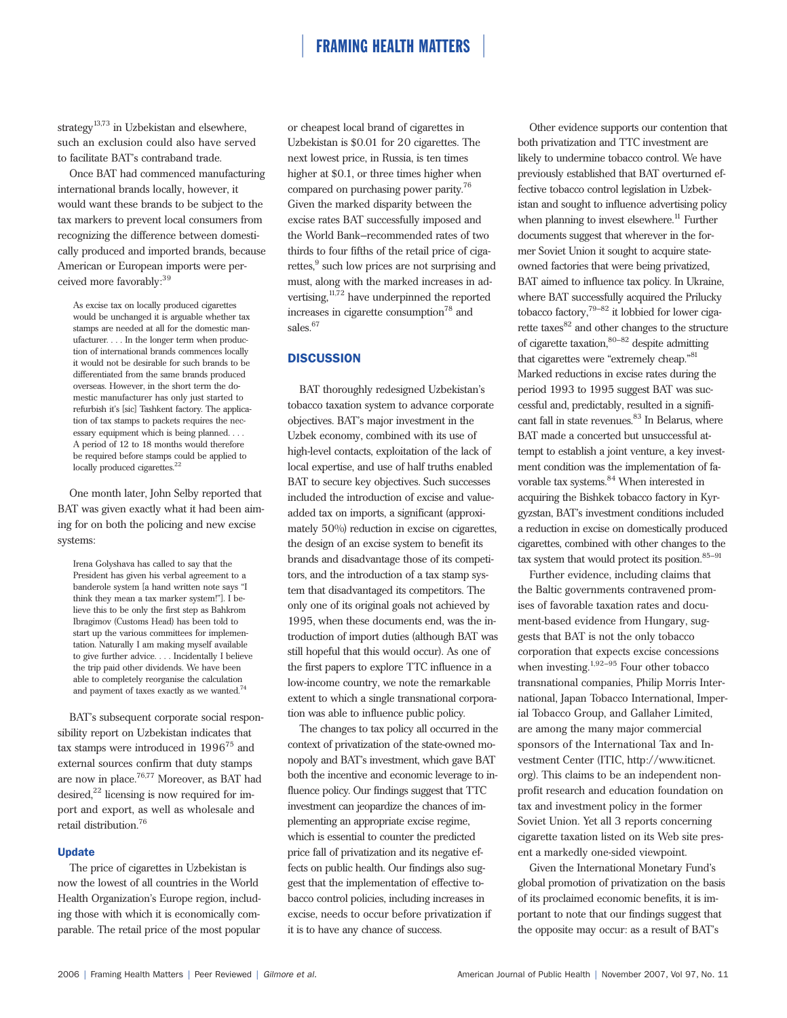strategy<sup>13,73</sup> in Uzbekistan and elsewhere, such an exclusion could also have served to facilitate BAT's contraband trade.

Once BAT had commenced manufacturing international brands locally, however, it would want these brands to be subject to the tax markers to prevent local consumers from recognizing the difference between domestically produced and imported brands, because American or European imports were perceived more favorably:<sup>39</sup>

As excise tax on locally produced cigarettes would be unchanged it is arguable whether tax stamps are needed at all for the domestic manufacturer. . . . In the longer term when production of international brands commences locally it would not be desirable for such brands to be differentiated from the same brands produced overseas. However, in the short term the domestic manufacturer has only just started to refurbish it's [sic] Tashkent factory. The application of tax stamps to packets requires the necessary equipment which is being planned. . . . A period of 12 to 18 months would therefore be required before stamps could be applied to locally produced cigarettes.<sup>22</sup>

One month later, John Selby reported that BAT was given exactly what it had been aiming for on both the policing and new excise systems:

Irena Golyshava has called to say that the President has given his verbal agreement to a banderole system [a hand written note says "I think they mean a tax marker system!"]. I believe this to be only the first step as Bahkrom Ibragimov (Customs Head) has been told to start up the various committees for implementation. Naturally I am making myself available to give further advice. . . . Incidentally I believe the trip paid other dividends. We have been able to completely reorganise the calculation and payment of taxes exactly as we wanted. $^{74}$ 

BAT's subsequent corporate social responsibility report on Uzbekistan indicates that tax stamps were introduced in  $1996^{75}$  and external sources confirm that duty stamps are now in place.<sup>76,77</sup> Moreover, as BAT had desired, $^{22}$  licensing is now required for import and export, as well as wholesale and retail distribution.76

#### Update

The price of cigarettes in Uzbekistan is now the lowest of all countries in the World Health Organization's Europe region, including those with which it is economically comparable. The retail price of the most popular

or cheapest local brand of cigarettes in Uzbekistan is \$0.01 for 20 cigarettes. The next lowest price, in Russia, is ten times higher at \$0.1, or three times higher when compared on purchasing power parity.<sup>76</sup> Given the marked disparity between the excise rates BAT successfully imposed and the World Bank–recommended rates of two thirds to four fifths of the retail price of cigarettes,<sup>9</sup> such low prices are not surprising and must, along with the marked increases in advertising,  $11,72$  have underpinned the reported increases in cigarette consumption<sup>78</sup> and sales.<sup>67</sup>

### **DISCUSSION**

BAT thoroughly redesigned Uzbekistan's tobacco taxation system to advance corporate objectives. BAT's major investment in the Uzbek economy, combined with its use of high-level contacts, exploitation of the lack of local expertise, and use of half truths enabled BAT to secure key objectives. Such successes included the introduction of excise and valueadded tax on imports, a significant (approximately 50%) reduction in excise on cigarettes, the design of an excise system to benefit its brands and disadvantage those of its competitors, and the introduction of a tax stamp system that disadvantaged its competitors. The only one of its original goals not achieved by 1995, when these documents end, was the introduction of import duties (although BAT was still hopeful that this would occur). As one of the first papers to explore TTC influence in a low-income country, we note the remarkable extent to which a single transnational corporation was able to influence public policy.

The changes to tax policy all occurred in the context of privatization of the state-owned monopoly and BAT's investment, which gave BAT both the incentive and economic leverage to influence policy. Our findings suggest that TTC investment can jeopardize the chances of implementing an appropriate excise regime, which is essential to counter the predicted price fall of privatization and its negative effects on public health. Our findings also suggest that the implementation of effective tobacco control policies, including increases in excise, needs to occur before privatization if it is to have any chance of success.

Other evidence supports our contention that both privatization and TTC investment are likely to undermine tobacco control. We have previously established that BAT overturned effective tobacco control legislation in Uzbekistan and sought to influence advertising policy when planning to invest elsewhere.<sup>11</sup> Further documents suggest that wherever in the former Soviet Union it sought to acquire stateowned factories that were being privatized, BAT aimed to influence tax policy. In Ukraine, where BAT successfully acquired the Prilucky tobacco factory, $79-82$  it lobbied for lower cigarette taxes $82$  and other changes to the structure of cigarette taxation,  $80-82$  despite admitting that cigarettes were "extremely cheap."81 Marked reductions in excise rates during the period 1993 to 1995 suggest BAT was successful and, predictably, resulted in a significant fall in state revenues.<sup>83</sup> In Belarus, where BAT made a concerted but unsuccessful attempt to establish a joint venture, a key investment condition was the implementation of favorable tax systems.<sup>84</sup> When interested in acquiring the Bishkek tobacco factory in Kyrgyzstan, BAT's investment conditions included a reduction in excise on domestically produced cigarettes, combined with other changes to the tax system that would protect its position.<sup>85-91</sup>

Further evidence, including claims that the Baltic governments contravened promises of favorable taxation rates and document-based evidence from Hungary, suggests that BAT is not the only tobacco corporation that expects excise concessions when investing. $1,92-95$  Four other tobacco transnational companies, Philip Morris International, Japan Tobacco International, Imperial Tobacco Group, and Gallaher Limited, are among the many major commercial sponsors of the International Tax and Investment Center (ITIC, http://www.iticnet. org). This claims to be an independent nonprofit research and education foundation on tax and investment policy in the former Soviet Union. Yet all 3 reports concerning cigarette taxation listed on its Web site present a markedly one-sided viewpoint.

Given the International Monetary Fund's global promotion of privatization on the basis of its proclaimed economic benefits, it is important to note that our findings suggest that the opposite may occur: as a result of BAT's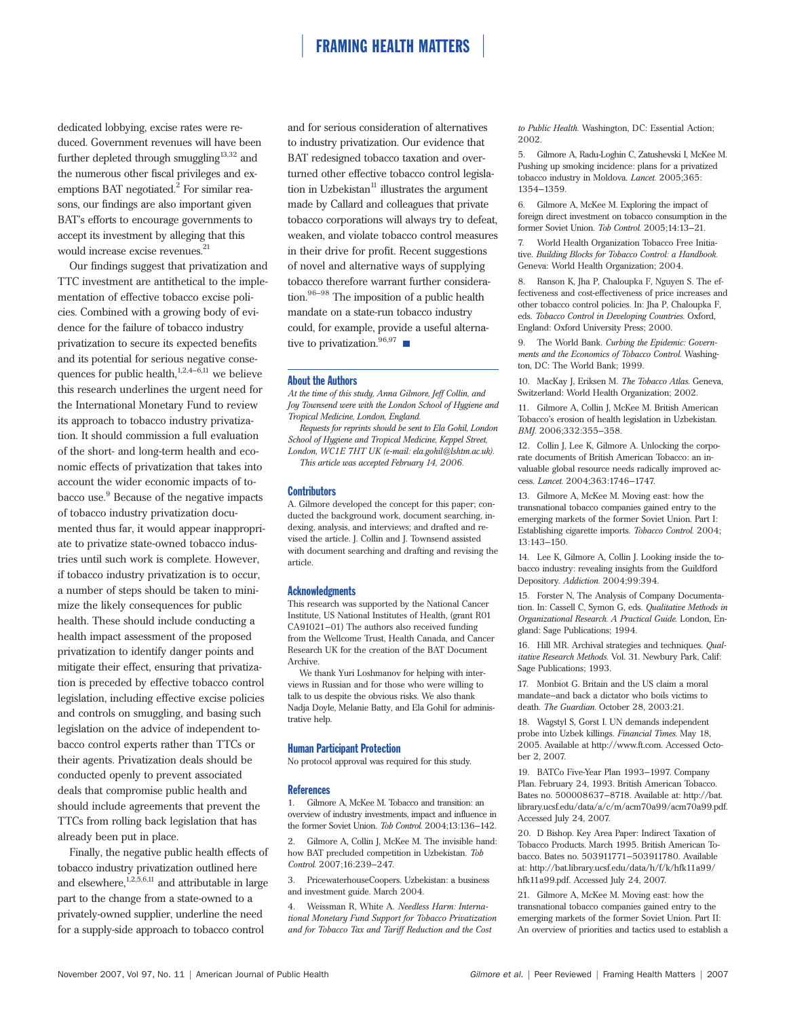dedicated lobbying, excise rates were reduced. Government revenues will have been further depleted through smuggling $^{13,32}$  and the numerous other fiscal privileges and exemptions BAT negotiated.<sup>2</sup> For similar reasons, our findings are also important given BAT's efforts to encourage governments to accept its investment by alleging that this would increase excise revenues.<sup>21</sup>

Our findings suggest that privatization and TTC investment are antithetical to the implementation of effective tobacco excise policies. Combined with a growing body of evidence for the failure of tobacco industry privatization to secure its expected benefits and its potential for serious negative consequences for public health, $1,2,4-6,11$  we believe this research underlines the urgent need for the International Monetary Fund to review its approach to tobacco industry privatization. It should commission a full evaluation of the short- and long-term health and economic effects of privatization that takes into account the wider economic impacts of tobacco use.<sup>9</sup> Because of the negative impacts of tobacco industry privatization documented thus far, it would appear inappropriate to privatize state-owned tobacco industries until such work is complete. However, if tobacco industry privatization is to occur, a number of steps should be taken to minimize the likely consequences for public health. These should include conducting a health impact assessment of the proposed privatization to identify danger points and mitigate their effect, ensuring that privatization is preceded by effective tobacco control legislation, including effective excise policies and controls on smuggling, and basing such legislation on the advice of independent tobacco control experts rather than TTCs or their agents. Privatization deals should be conducted openly to prevent associated deals that compromise public health and should include agreements that prevent the TTCs from rolling back legislation that has already been put in place.

Finally, the negative public health effects of tobacco industry privatization outlined here and elsewhere, $1,2,5,6,11$  and attributable in large part to the change from a state-owned to a privately-owned supplier, underline the need for a supply-side approach to tobacco control

and for serious consideration of alternatives to industry privatization. Our evidence that BAT redesigned tobacco taxation and overturned other effective tobacco control legislation in Uzbekistan $11$  illustrates the argument made by Callard and colleagues that private tobacco corporations will always try to defeat, weaken, and violate tobacco control measures in their drive for profit. Recent suggestions of novel and alternative ways of supplying tobacco therefore warrant further consideration.<sup>96-98</sup> The imposition of a public health mandate on a state-run tobacco industry could, for example, provide a useful alternative to privatization.  $96,97$ 

#### About the Authors

*At the time of this study, Anna Gilmore, Jeff Collin, and Joy Townsend were with the London School of Hygiene and Tropical Medicine, London, England.*

*Requests for reprints should be sent to Ela Gohil, London School of Hygiene and Tropical Medicine, Keppel Street, London, WC1E 7HT UK (e-mail: ela.gohil@lshtm.ac.uk). This article was accepted February 14, 2006.*

#### **Contributors**

A. Gilmore developed the concept for this paper; conducted the background work, document searching, indexing, analysis, and interviews; and drafted and revised the article. J. Collin and J. Townsend assisted with document searching and drafting and revising the article.

#### **Acknowledgments**

This research was supported by the National Cancer Institute, US National Institutes of Health, (grant R01 CA91021–01) The authors also received funding from the Wellcome Trust, Health Canada, and Cancer Research UK for the creation of the BAT Document Archive.

We thank Yuri Loshmanov for helping with interviews in Russian and for those who were willing to talk to us despite the obvious risks. We also thank Nadja Doyle, Melanie Batty, and Ela Gohil for administrative help.

#### Human Participant Protection

No protocol approval was required for this study.

#### **References**

1. Gilmore A, McKee M. Tobacco and transition: an overview of industry investments, impact and influence in the former Soviet Union. *Tob Control.* 2004;13:136–142.

2. Gilmore A, Collin J, McKee M. The invisible hand: how BAT precluded competition in Uzbekistan. *Tob Control.* 2007;16:239–247.

3. PricewaterhouseCoopers. Uzbekistan: a business and investment guide. March 2004.

4. Weissman R, White A. *Needless Harm: International Monetary Fund Support for Tobacco Privatization and for Tobacco Tax and Tariff Reduction and the Cost*

*to Public Health.* Washington, DC: Essential Action; 2002.

5. Gilmore A, Radu-Loghin C, Zatushevski I, McKee M. Pushing up smoking incidence: plans for a privatized tobacco industry in Moldova. *Lancet.* 2005;365: 1354–1359.

6. Gilmore A, McKee M. Exploring the impact of foreign direct investment on tobacco consumption in the former Soviet Union. *Tob Control.* 2005;14:13–21.

7. World Health Organization Tobacco Free Initiative. *Building Blocks for Tobacco Control: a Handbook.* Geneva: World Health Organization; 2004.

8. Ranson K, Jha P, Chaloupka F, Nguyen S. The effectiveness and cost-effectiveness of price increases and other tobacco control policies. In: Jha P, Chaloupka F, eds. *Tobacco Control in Developing Countries.* Oxford, England: Oxford University Press; 2000.

9. The World Bank. *Curbing the Epidemic: Governments and the Economics of Tobacco Control.* Washington, DC: The World Bank; 1999.

10. MacKay J, Eriksen M. *The Tobacco Atlas*. Geneva, Switzerland: World Health Organization; 2002.

11. Gilmore A, Collin J, McKee M. British American Tobacco's erosion of health legislation in Uzbekistan. *BMJ*. 2006;332:355–358.

12. Collin J, Lee K, Gilmore A. Unlocking the corporate documents of British American Tobacco: an invaluable global resource needs radically improved access. *Lancet.* 2004;363:1746–1747.

13. Gilmore A, McKee M. Moving east: how the transnational tobacco companies gained entry to the emerging markets of the former Soviet Union. Part I: Establishing cigarette imports. *Tobacco Control.* 2004; 13:143–150.

14. Lee K, Gilmore A, Collin J. Looking inside the tobacco industry: revealing insights from the Guildford Depository. *Addiction.* 2004;99:394.

15. Forster N, The Analysis of Company Documentation. In: Cassell C, Symon G, eds. *Qualitative Methods in Organizational Research. A Practical Guide*. London, England: Sage Publications; 1994.

16. Hill MR. Archival strategies and techniques. *Qualitative Research Methods.* Vol. 31. Newbury Park, Calif: Sage Publications; 1993.

17. Monbiot G. Britain and the US claim a moral mandate–and back a dictator who boils victims to death. *The Guardian.* October 28, 2003:21.

18. Wagstyl S, Gorst I. UN demands independent probe into Uzbek killings. *Financial Times*. May 18, 2005. Available at http://www.ft.com. Accessed October 2, 2007.

19. BATCo Five-Year Plan 1993–1997. Company Plan. February 24, 1993. British American Tobacco. Bates no. 500008637–8718. Available at: http://bat. library.ucsf.edu/data/a/c/m/acm70a99/acm70a99.pdf. Accessed July 24, 2007.

20. D Bishop. Key Area Paper: Indirect Taxation of Tobacco Products. March 1995. British American Tobacco. Bates no. 503911771–503911780. Available at: http://bat.library.ucsf.edu/data/h/f/k/hfk11a99/ hfk11a99.pdf. Accessed July 24, 2007.

21. Gilmore A, McKee M. Moving east: how the transnational tobacco companies gained entry to the emerging markets of the former Soviet Union. Part II: An overview of priorities and tactics used to establish a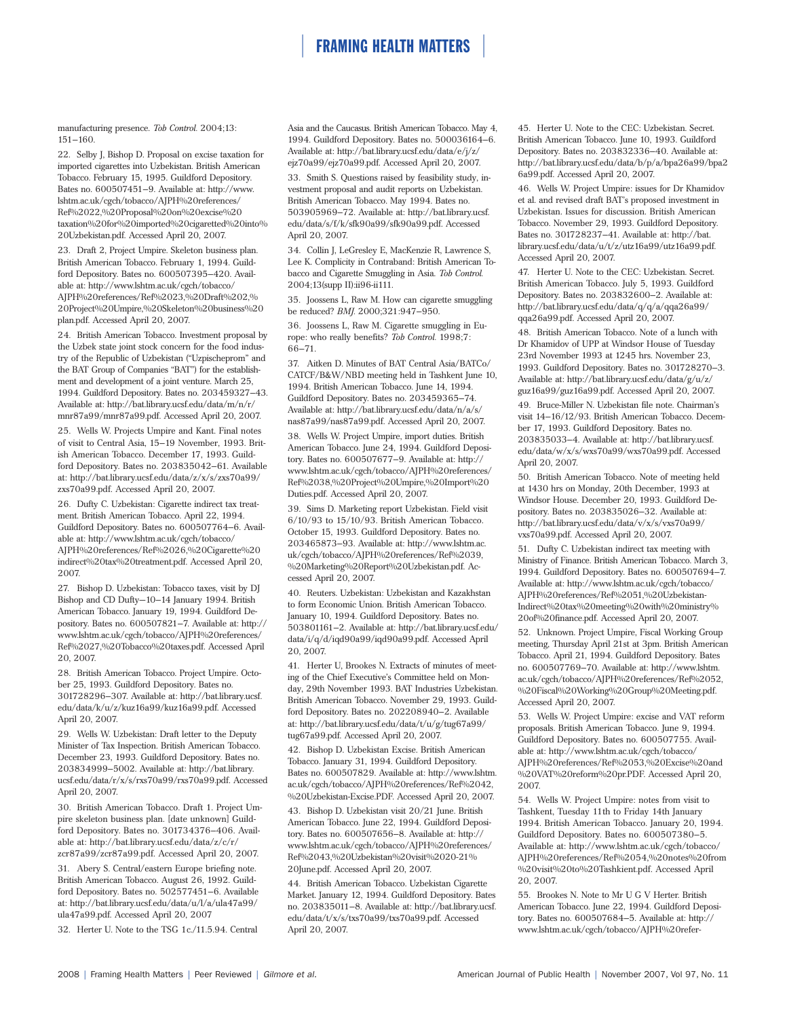manufacturing presence. *Tob Control.* 2004;13: 151–160.

22. Selby J, Bishop D. Proposal on excise taxation for imported cigarettes into Uzbekistan. British American Tobacco. February 15, 1995. Guildford Depository. Bates no. 600507451–9. Available at: http://www. lshtm.ac.uk/cgch/tobacco/AJPH%20references/ Ref%2022,%20Proposal%20on%20excise%20 taxation%20for%20imported%20cigaretted%20into% 20Uzbekistan.pdf. Accessed April 20, 2007.

23. Draft 2, Project Umpire. Skeleton business plan. British American Tobacco. February 1, 1994. Guildford Depository. Bates no. 600507395–420. Available at: http://www.lshtm.ac.uk/cgch/tobacco/ AJPH%20references/Ref%2023,%20Draft%202,% 20Project%20Umpire,%20Skeleton%20business%20 plan.pdf. Accessed April 20, 2007.

24. British American Tobacco. Investment proposal by the Uzbek state joint stock concern for the food industry of the Republic of Uzbekistan ("Uzpischeprom" and the BAT Group of Companies "BAT") for the establishment and development of a joint venture. March 25, 1994. Guildford Depository. Bates no. 203459327–43. Available at: http://bat.library.ucsf.edu/data/m/n/r/ mnr87a99/mnr87a99.pdf. Accessed April 20, 2007.

25. Wells W. Projects Umpire and Kant. Final notes of visit to Central Asia, 15–19 November, 1993. British American Tobacco. December 17, 1993. Guildford Depository. Bates no. 203835042–61. Available at: http://bat.library.ucsf.edu/data/z/x/s/zxs70a99/ zxs70a99.pdf. Accessed April 20, 2007.

26. Dufty C. Uzbekistan: Cigarette indirect tax treatment. British American Tobacco. April 22, 1994. Guildford Depository. Bates no. 600507764–6. Available at: http://www.lshtm.ac.uk/cgch/tobacco/ AJPH%20references/Ref%2026,%20Cigarette%20 indirect%20tax%20treatment.pdf. Accessed April 20, 2007.

27. Bishop D. Uzbekistan: Tobacco taxes, visit by DJ Bishop and CD Dufty—10–14 January 1994. British American Tobacco. January 19, 1994. Guildford Depository. Bates no. 600507821–7. Available at: http:// www.lshtm.ac.uk/cgch/tobacco/AJPH%20references/ Ref%2027,%20Tobacco%20taxes.pdf. Accessed April 20, 2007.

28. British American Tobacco. Project Umpire. October 25, 1993. Guildford Depository. Bates no. 301728296–307. Available at: http://bat.library.ucsf. edu/data/k/u/z/kuz16a99/kuz16a99.pdf. Accessed April 20, 2007.

29. Wells W. Uzbekistan: Draft letter to the Deputy Minister of Tax Inspection. British American Tobacco. December 23, 1993. Guildford Depository. Bates no. 203834999–5002. Available at: http://bat.library. ucsf.edu/data/r/x/s/rxs70a99/rxs70a99.pdf. Accessed April 20, 2007.

30. British American Tobacco. Draft 1. Project Umpire skeleton business plan. [date unknown] Guildford Depository. Bates no. 301734376–406. Available at: http://bat.library.ucsf.edu/data/z/c/r/ zcr87a99/zcr87a99.pdf. Accessed April 20, 2007.

31. Abery S. Central/eastern Europe briefing note. British American Tobacco. August 26, 1992. Guildford Depository. Bates no. 502577451–6. Available at: http://bat.library.ucsf.edu/data/u/l/a/ula47a99/ ula47a99.pdf. Accessed April 20, 2007

32. Herter U. Note to the TSG 1c./11.5.94. Central

Asia and the Caucasus. British American Tobacco. May 4, 1994. Guildford Depository. Bates no. 500036164–6. Available at: http://bat.library.ucsf.edu/data/e/j/z/ ejz70a99/ejz70a99.pdf. Accessed April 20, 2007.

33. Smith S. Questions raised by feasibility study, investment proposal and audit reports on Uzbekistan. British American Tobacco. May 1994. Bates no. 503905969–72. Available at: http://bat.library.ucsf. edu/data/s/f/k/sfk90a99/sfk90a99.pdf. Accessed April 20, 2007.

34. Collin J, LeGresley E, MacKenzie R, Lawrence S, Lee K. Complicity in Contraband: British American Tobacco and Cigarette Smuggling in Asia. *Tob Control.* 2004;13(supp II):ii96-ii111.

35. Joossens L, Raw M. How can cigarette smuggling be reduced? *BMJ.* 2000;321:947–950.

36. Joossens L, Raw M. Cigarette smuggling in Europe: who really benefits? *Tob Control.* 1998;7: 66–71.

37. Aitken D. Minutes of BAT Central Asia/BATCo/ CATCF/B&W/NBD meeting held in Tashkent June 10, 1994. British American Tobacco. June 14, 1994. Guildford Depository. Bates no. 203459365–74. Available at: http://bat.library.ucsf.edu/data/n/a/s/ nas87a99/nas87a99.pdf. Accessed April 20, 2007.

38. Wells W. Project Umpire, import duties. British American Tobacco. June 24, 1994. Guildford Depository. Bates no. 600507677–9. Available at: http:// www.lshtm.ac.uk/cgch/tobacco/AJPH%20references/ Ref%2038,%20Project%20Umpire,%20Import%20 Duties.pdf. Accessed April 20, 2007.

39. Sims D. Marketing report Uzbekistan. Field visit 6/10/93 to 15/10/93. British American Tobacco. October 15, 1993. Guildford Depository. Bates no. 203465873–93. Available at: http://www.lshtm.ac. uk/cgch/tobacco/AJPH%20references/Ref%2039, %20Marketing%20Report%20Uzbekistan.pdf. Accessed April 20, 2007.

40. Reuters. Uzbekistan: Uzbekistan and Kazakhstan to form Economic Union. British American Tobacco. January 10, 1994. Guildford Depository. Bates no. 503801161–2. Available at: http://bat.library.ucsf.edu/ data/i/q/d/iqd90a99/iqd90a99.pdf. Accessed April 20, 2007.

41. Herter U, Brookes N. Extracts of minutes of meeting of the Chief Executive's Committee held on Monday, 29th November 1993. BAT Industries Uzbekistan. British American Tobacco. November 29, 1993. Guildford Depository. Bates no. 202208940–2. Available at: http://bat.library.ucsf.edu/data/t/u/g/tug67a99/ tug67a99.pdf. Accessed April 20, 2007.

42. Bishop D. Uzbekistan Excise. British American Tobacco. January 31, 1994. Guildford Depository. Bates no. 600507829. Available at: http://www.lshtm. ac.uk/cgch/tobacco/AJPH%20references/Ref%2042, %20Uzbekistan-Excise.PDF. Accessed April 20, 2007.

43. Bishop D. Uzbekistan visit 20/21 June. British American Tobacco. June 22, 1994. Guildford Depository. Bates no. 600507656–8. Available at: http:// www.lshtm.ac.uk/cgch/tobacco/AJPH%20references/ Ref%2043,%20Uzbekistan%20visit%2020-21% 20June.pdf. Accessed April 20, 2007.

44. British American Tobacco. Uzbekistan Cigarette Market. January 12, 1994. Guildford Depository. Bates no. 203835011–8. Available at: http://bat.library.ucsf. edu/data/t/x/s/txs70a99/txs70a99.pdf. Accessed April 20, 2007.

45. Herter U. Note to the CEC: Uzbekistan. Secret. British American Tobacco. June 10, 1993. Guildford Depository. Bates no. 203832336–40. Available at: http://bat.library.ucsf.edu/data/b/p/a/bpa26a99/bpa2 6a99.pdf. Accessed April 20, 2007.

46. Wells W. Project Umpire: issues for Dr Khamidov et al. and revised draft BAT's proposed investment in Uzbekistan. Issues for discussion. British American Tobacco. November 29, 1993. Guildford Depository. Bates no. 301728237–41. Available at: http://bat. library.ucsf.edu/data/u/t/z/utz16a99/utz16a99.pdf. Accessed April 20, 2007.

47. Herter U. Note to the CEC: Uzbekistan. Secret. British American Tobacco. July 5, 1993. Guildford Depository. Bates no. 203832600–2. Available at: http://bat.library.ucsf.edu/data/q/q/a/qqa26a99/ qqa26a99.pdf. Accessed April 20, 2007.

48. British American Tobacco. Note of a lunch with Dr Khamidov of UPP at Windsor House of Tuesday 23rd November 1993 at 1245 hrs. November 23, 1993. Guildford Depository. Bates no. 301728270–3. Available at: http://bat.library.ucsf.edu/data/g/u/z/ guz16a99/guz16a99.pdf. Accessed April 20, 2007. 49. Bruce-Miller N. Uzbekistan file note. Chairman's visit 14–16/12/93. British American Tobacco. Decem-

ber 17, 1993. Guildford Depository. Bates no. 203835033–4. Available at: http://bat.library.ucsf. edu/data/w/x/s/wxs70a99/wxs70a99.pdf. Accessed April 20, 2007.

50. British American Tobacco. Note of meeting held at 1430 hrs on Monday, 20th December, 1993 at Windsor House. December 20, 1993. Guildford Depository. Bates no. 203835026–32. Available at: http://bat.library.ucsf.edu/data/v/x/s/vxs70a99/ vxs70a99.pdf. Accessed April 20, 2007.

51. Dufty C. Uzbekistan indirect tax meeting with Ministry of Finance. British American Tobacco. March 3, 1994. Guildford Depository. Bates no. 600507694–7. Available at: http://www.lshtm.ac.uk/cgch/tobacco/ AJPH%20references/Ref%2051,%20Uzbekistan-Indirect%20tax%20meeting%20with%20ministry% 20of%20finance.pdf. Accessed April 20, 2007.

52. Unknown. Project Umpire, Fiscal Working Group meeting, Thursday April 21st at 3pm. British American Tobacco. April 21, 1994. Guildford Depository. Bates no. 600507769–70. Available at: http://www.lshtm. ac.uk/cgch/tobacco/AJPH%20references/Ref%2052, %20Fiscal%20Working%20Group%20Meeting.pdf. Accessed April 20, 2007.

53. Wells W. Project Umpire: excise and VAT reform proposals. British American Tobacco. June 9, 1994. Guildford Depository. Bates no. 600507755. Available at: http://www.lshtm.ac.uk/cgch/tobacco/ AJPH%20references/Ref%2053,%20Excise%20and %20VAT%20reform%20pr.PDF. Accessed April 20, 2007.

54. Wells W. Project Umpire: notes from visit to Tashkent, Tuesday 11th to Friday 14th January 1994. British American Tobacco. January 20, 1994. Guildford Depository. Bates no. 600507380–5. Available at: http://www.lshtm.ac.uk/cgch/tobacco/ AJPH%20references/Ref%2054,%20notes%20from %20visit%20to%20Tashkient.pdf. Accessed April 20, 2007.

55. Brookes N. Note to Mr U G V Herter. British American Tobacco. June 22, 1994. Guildford Depository. Bates no. 600507684–5. Available at: http:// www.lshtm.ac.uk/cgch/tobacco/AJPH%20refer-